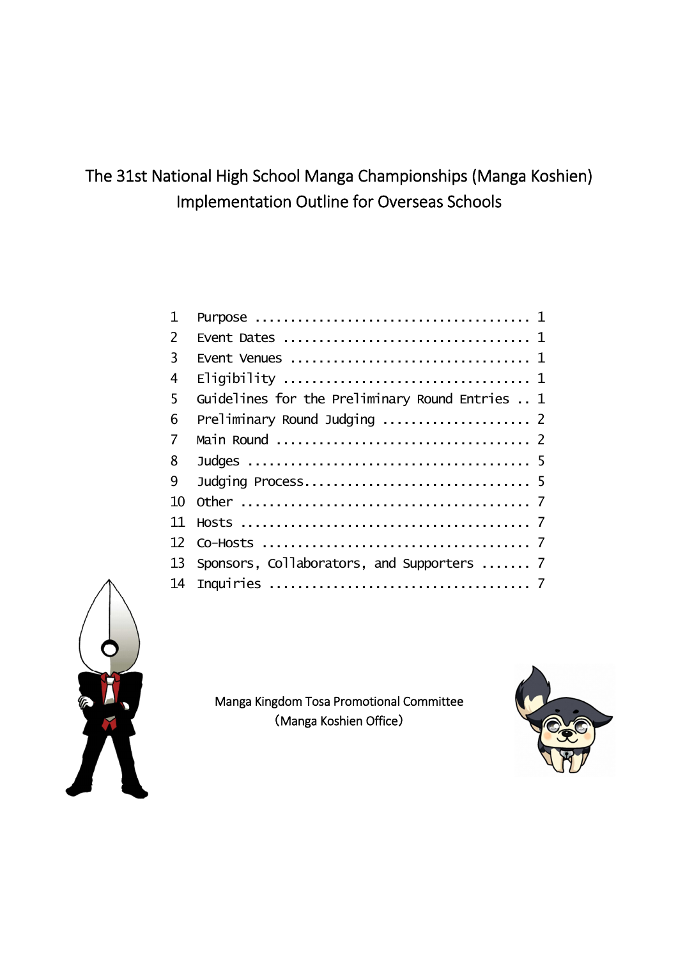# The 31st National High School Manga Championships (Manga Koshien) Implementation Outline for Overseas Schools

| 1   |                                                 |
|-----|-------------------------------------------------|
| 2   |                                                 |
| 3   |                                                 |
| 4   |                                                 |
| 5   | Guidelines for the Preliminary Round Entries  1 |
| 6   | Preliminary Round Judging  2                    |
| 7   |                                                 |
| 8   |                                                 |
| 9   |                                                 |
| 10  |                                                 |
| 11  |                                                 |
| 12. |                                                 |
| 13  | Sponsors, Collaborators, and Supporters  7      |
| 14  |                                                 |



Manga Kingdom Tosa Promotional Committee (Manga Koshien Office)

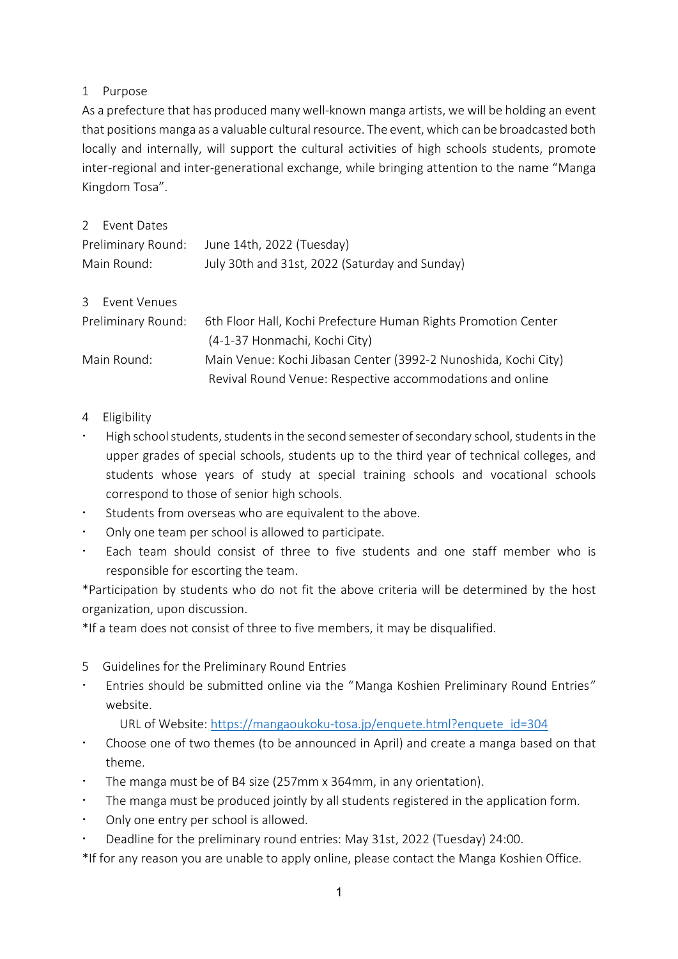## 1 Purpose

As a prefecture that has produced many well-known manga artists, we will be holding an event that positions manga as a valuable cultural resource. The event, which can be broadcasted both locally and internally, will support the cultural activities of high schools students, promote inter-regional and inter-generational exchange, while bringing attention to the name "Manga Kingdom Tosa".

|                    | 2 Event Dates  |                                                                 |
|--------------------|----------------|-----------------------------------------------------------------|
| Preliminary Round: |                | June 14th, 2022 (Tuesday)                                       |
| Main Round:        |                | July 30th and 31st, 2022 (Saturday and Sunday)                  |
|                    |                |                                                                 |
|                    | 3 Fyent Venues |                                                                 |
| Preliminary Round: |                | 6th Floor Hall, Kochi Prefecture Human Rights Promotion Center  |
|                    |                | (4-1-37 Honmachi, Kochi City)                                   |
| Main Round:        |                | Main Venue: Kochi Jibasan Center (3992-2 Nunoshida, Kochi City) |
|                    |                | Revival Round Venue: Respective accommodations and online       |

- 4 Eligibility
- High school students, students in the second semester of secondary school, students in the upper grades of special schools, students up to the third year of technical colleges, and students whose years of study at special training schools and vocational schools correspond to those of senior high schools.
- Students from overseas who are equivalent to the above.
- $\cdot$  Only one team per school is allowed to participate.
- Each team should consist of three to five students and one staff member who is responsible for escorting the team.

\*Participation by students who do not fit the above criteria will be determined by the host organization, upon discussion.

\*If a team does not consist of three to five members, it may be disqualified.

- 5 Guidelines for the Preliminary Round Entries
- ž Entries should be submitted online via the "Manga Koshien Preliminary Round Entries" website.

URL of Website: [https://mangaoukoku-tosa.jp/enquete.html?enquete\\_id=304](https://mangaoukoku-tosa.jp/enquete.html?enquete_id=304)

- ž Choose one of two themes (to be announced in April) and create a manga based on that theme.
- The manga must be of B4 size (257mm x 364mm, in any orientation).
- $\cdot$  The manga must be produced jointly by all students registered in the application form.
- Only one entry per school is allowed.
- \* Deadline for the preliminary round entries: May 31st, 2022 (Tuesday) 24:00.

\*If for any reason you are unable to apply online, please contact the Manga Koshien Office.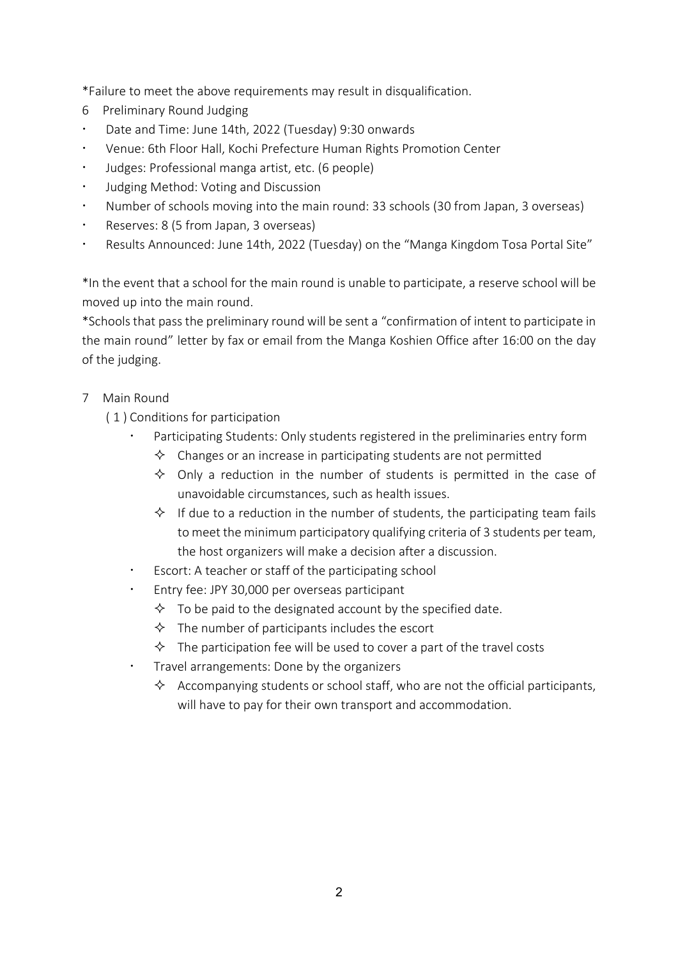\*Failure to meet the above requirements may result in disqualification.

- 6 Preliminary Round Judging
- \* Date and Time: June 14th, 2022 (Tuesday) 9:30 onwards
- \* Venue: 6th Floor Hall, Kochi Prefecture Human Rights Promotion Center
- Judges: Professional manga artist, etc. (6 people)
- **•** Judging Method: Voting and Discussion
- ž Number of schools moving into the main round: 33 schools (30 from Japan, 3 overseas)
- $\cdot$  Reserves: 8 (5 from Japan, 3 overseas)
- Results Announced: June 14th, 2022 (Tuesday) on the "Manga Kingdom Tosa Portal Site"

\*In the event that a school for the main round is unable to participate, a reserve school will be moved up into the main round.

\*Schoolsthat pass the preliminary round will be sent a "confirmation of intent to participate in the main round" letter by fax or email from the Manga Koshien Office after 16:00 on the day of the judging.

# 7 Main Round

- ( 1 ) Conditions for participation
	- Participating Students: Only students registered in the preliminaries entry form
		- $\Diamond$  Changes or an increase in participating students are not permitted
		- $\diamond$  Only a reduction in the number of students is permitted in the case of unavoidable circumstances, such as health issues.
		- $\Diamond$  If due to a reduction in the number of students, the participating team fails to meet the minimum participatory qualifying criteria of 3 students per team, the host organizers will make a decision after a discussion.
	- Escort: A teacher or staff of the participating school
	- Entry fee: JPY 30,000 per overseas participant
		- $\Diamond$  To be paid to the designated account by the specified date.
		- $\Diamond$  The number of participants includes the escort
		- $\Diamond$  The participation fee will be used to cover a part of the travel costs
	- Travel arrangements: Done by the organizers
		- $\Diamond$  Accompanying students or school staff, who are not the official participants, will have to pay for their own transport and accommodation.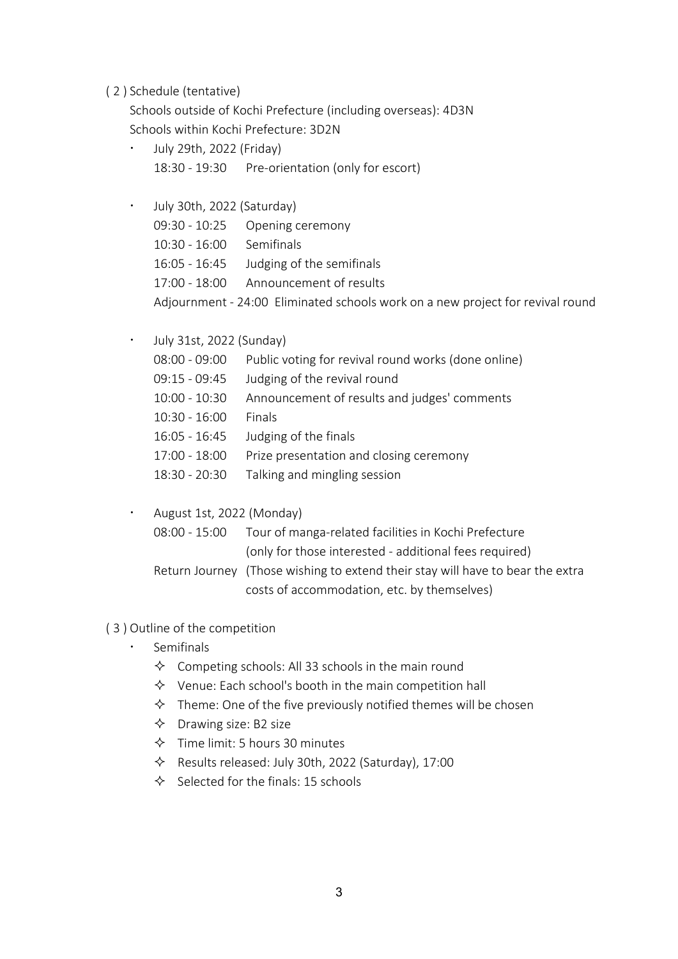( 2 ) Schedule (tentative)

Schools outside of Kochi Prefecture (including overseas): 4D3N Schools within Kochi Prefecture: 3D2N

| July 29th, 2022 (Friday)<br>$\bullet$ |                            |                                                                                |
|---------------------------------------|----------------------------|--------------------------------------------------------------------------------|
|                                       |                            | 18:30 - 19:30 Pre-orientation (only for escort)                                |
|                                       |                            |                                                                                |
| $\bullet$                             | July 30th, 2022 (Saturday) |                                                                                |
|                                       | $09:30 - 10:25$            | Opening ceremony                                                               |
|                                       | $10:30 - 16:00$            | Semifinals                                                                     |
|                                       | 16:05 - 16:45              | Judging of the semifinals                                                      |
|                                       | $17:00 - 18:00$            | Announcement of results                                                        |
|                                       |                            | Adjournment - 24:00 Eliminated schools work on a new project for revival round |

 $\cdot$  July 31st, 2022 (Sunday)

08:00 - 09:00 Public voting for revival round works (done online)

09:15 - 09:45 Judging of the revival round

- 10:00 10:30 Announcement of results and judges' comments
- 10:30 16:00 Finals
- 16:05 16:45 Judging of the finals
- 17:00 18:00 Prize presentation and closing ceremony
- 18:30 20:30 Talking and mingling session
- $\cdot$  August 1st, 2022 (Monday)

| 08:00 - 15:00 | Tour of manga-related facilities in Kochi Prefecture                           |
|---------------|--------------------------------------------------------------------------------|
|               | (only for those interested - additional fees required)                         |
|               | Return Journey (Those wishing to extend their stay will have to bear the extra |
|               | costs of accommodation, etc. by themselves)                                    |

- ( 3 ) Outline of the competition
	- Semifinals
		- $\Diamond$  Competing schools: All 33 schools in the main round
		- $\Diamond$  Venue: Each school's booth in the main competition hall
		- $\Diamond$  Theme: One of the five previously notified themes will be chosen
		- $\Diamond$  Drawing size: B2 size
		- $\lozenge$  Time limit: 5 hours 30 minutes
		- $\Diamond$  Results released: July 30th, 2022 (Saturday), 17:00
		- $\diamond$  Selected for the finals: 15 schools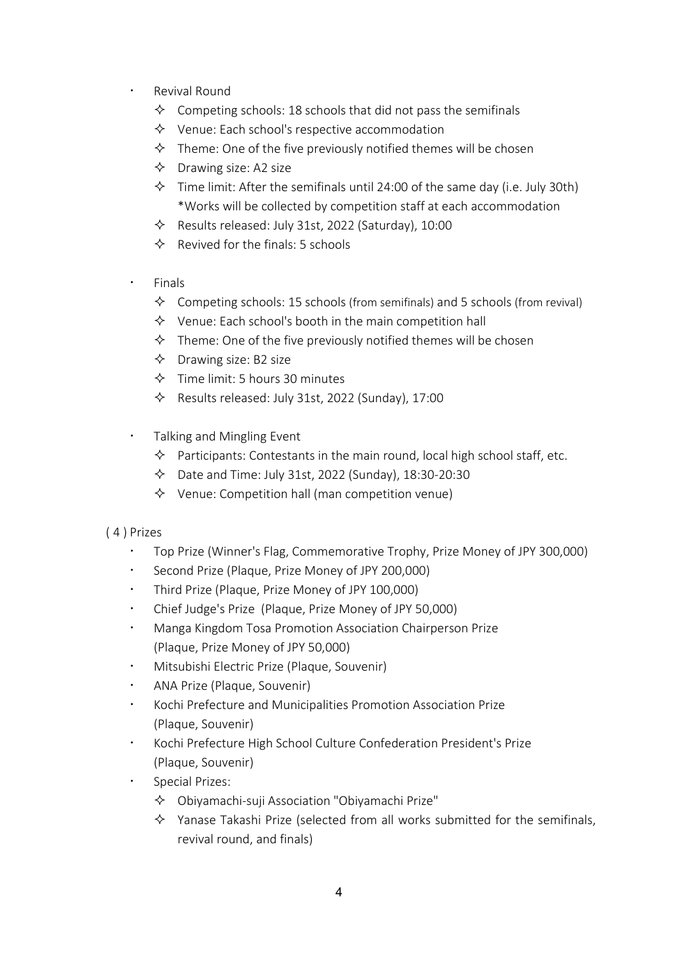- Revival Round
	- $\Diamond$  Competing schools: 18 schools that did not pass the semifinals
	- $\diamond$  Venue: Each school's respective accommodation
	- $\Diamond$  Theme: One of the five previously notified themes will be chosen
	- $\diamond$  Drawing size: A2 size
	- $\Diamond$  Time limit: After the semifinals until 24:00 of the same day (i.e. July 30th) \*Works will be collected by competition staff at each accommodation
	- $\Diamond$  Results released: July 31st, 2022 (Saturday), 10:00
	- $\Diamond$  Revived for the finals: 5 schools
- **Finals** 
	- $\diamondsuit$  Competing schools: 15 schools (from semifinals) and 5 schools (from revival)
	- $\Diamond$  Venue: Each school's booth in the main competition hall
	- $\Diamond$  Theme: One of the five previously notified themes will be chosen
	- $\Diamond$  Drawing size: B2 size
	- $\lozenge$  Time limit: 5 hours 30 minutes
	- $\Diamond$  Results released: July 31st, 2022 (Sunday), 17:00
- Talking and Mingling Event
	- $\diamond$  Participants: Contestants in the main round, local high school staff, etc.
	- $\lozenge$  Date and Time: July 31st, 2022 (Sunday), 18:30-20:30
	- $\Diamond$  Venue: Competition hall (man competition venue)

#### ( 4 ) Prizes

- ž Top Prize (Winner's Flag, Commemorative Trophy, Prize Money of JPY 300,000)
- \* Second Prize (Plaque, Prize Money of JPY 200,000)
- Third Prize (Plaque, Prize Money of JPY 100,000)
- $\cdot$  Chief Judge's Prize (Plaque, Prize Money of JPY 50,000)
- ž Manga Kingdom Tosa Promotion Association Chairperson Prize (Plaque, Prize Money of JPY 50,000)
- ž Mitsubishi Electric Prize (Plaque, Souvenir)
- ž ANA Prize (Plaque, Souvenir)
- ž Kochi Prefecture and Municipalities Promotion Association Prize (Plaque, Souvenir)
- ž Kochi Prefecture High School Culture Confederation President's Prize (Plaque, Souvenir)
- Special Prizes:
	- $\Diamond$  Obiyamachi-suji Association "Obiyamachi Prize"
	- $\Diamond$  Yanase Takashi Prize (selected from all works submitted for the semifinals, revival round, and finals)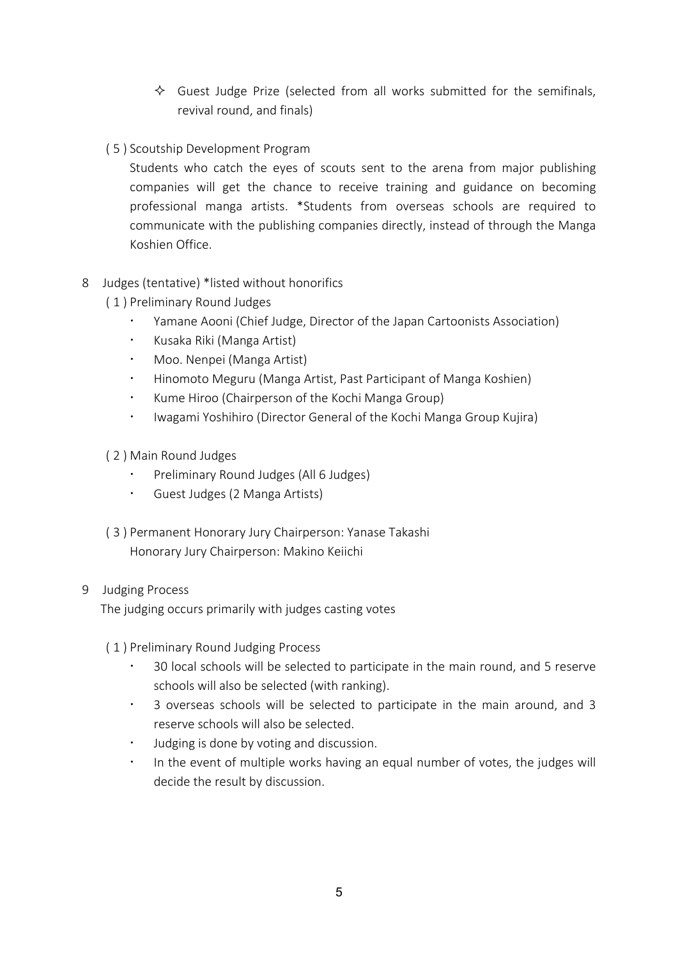- $\Diamond$  Guest Judge Prize (selected from all works submitted for the semifinals, revival round, and finals)
- ( 5 ) Scoutship Development Program

Students who catch the eyes of scouts sent to the arena from major publishing companies will get the chance to receive training and guidance on becoming professional manga artists. \*Students from overseas schools are required to communicate with the publishing companies directly, instead of through the Manga Koshien Office.

### 8 Judges (tentative) \*listed without honorifics

- ( 1 ) Preliminary Round Judges
	- Yamane Aooni (Chief Judge, Director of the Japan Cartoonists Association)
	- $\cdot$  Kusaka Riki (Manga Artist)
	- Moo. Nenpei (Manga Artist)
	- **Hinomoto Meguru (Manga Artist, Past Participant of Manga Koshien)**
	- Kume Hiroo (Chairperson of the Kochi Manga Group)
	- \* Iwagami Yoshihiro (Director General of the Kochi Manga Group Kujira)
- ( 2 ) Main Round Judges
	- Preliminary Round Judges (All 6 Judges)
	- **Guest Judges (2 Manga Artists)**
- ( 3 ) Permanent Honorary Jury Chairperson: Yanase Takashi Honorary Jury Chairperson: Makino Keiichi

#### 9 Judging Process

The judging occurs primarily with judges casting votes

- ( 1 ) Preliminary Round Judging Process
	- ž 30 local schools will be selected to participate in the main round, and 5 reserve schools will also be selected (with ranking).
	- ž 3 overseas schools will be selected to participate in the main around, and 3 reserve schools will also be selected.
	- Judging is done by voting and discussion.
	- In the event of multiple works having an equal number of votes, the judges will decide the result by discussion.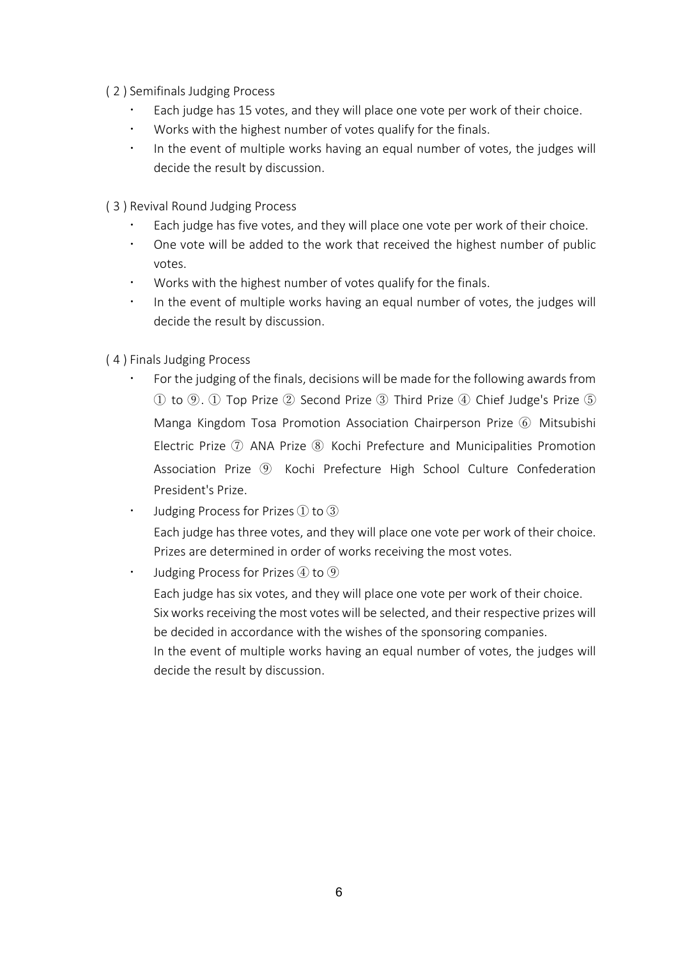- ( 2 ) Semifinals Judging Process
	- Each judge has 15 votes, and they will place one vote per work of their choice.
	- Works with the highest number of votes qualify for the finals.
	- $\cdot$  In the event of multiple works having an equal number of votes, the judges will decide the result by discussion.
- ( 3 ) Revival Round Judging Process
	- Each judge has five votes, and they will place one vote per work of their choice.
	- ž One vote will be added to the work that received the highest number of public votes.
	- Works with the highest number of votes qualify for the finals.
	- In the event of multiple works having an equal number of votes, the judges will decide the result by discussion.
- ( 4 ) Finals Judging Process
	- For the judging of the finals, decisions will be made for the following awards from ① to ⑨. ① Top Prize ② Second Prize ③ Third Prize ④ Chief Judge's Prize ⑤ Manga Kingdom Tosa Promotion Association Chairperson Prize ⑥ Mitsubishi Electric Prize (7) ANA Prize (8) Kochi Prefecture and Municipalities Promotion Association Prize ⑨ Kochi Prefecture High School Culture Confederation President's Prize.
	- Judging Process for Prizes  $\overline{1}$  to  $\overline{3}$ Each judge has three votes, and they will place one vote per work of their choice. Prizes are determined in order of works receiving the most votes.

 $\cdot$  Judging Process for Prizes  $\overline{4}$  to  $\overline{9}$ 

Each judge has six votes, and they will place one vote per work of their choice. Six works receiving the most votes will be selected, and their respective prizes will be decided in accordance with the wishes of the sponsoring companies.

In the event of multiple works having an equal number of votes, the judges will decide the result by discussion.